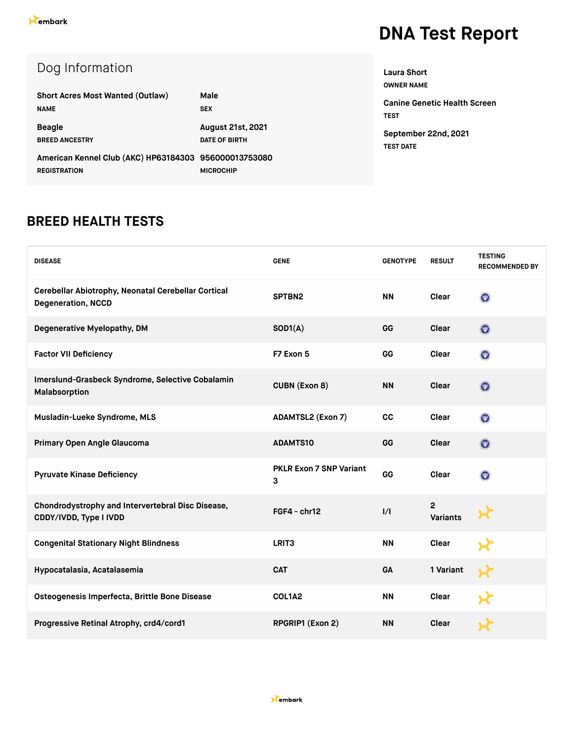| Dog Information |
|-----------------|
|                 |

| <b>Short Acres Most Wanted (Outlaw)</b>                                      | Male                                             |
|------------------------------------------------------------------------------|--------------------------------------------------|
| <b>NAME</b>                                                                  | <b>SEX</b>                                       |
| <b>Beagle</b><br><b>BREED ANCESTRY</b>                                       | <b>August 21st, 2021</b><br><b>DATE OF BIRTH</b> |
| American Kennel Club (AKC) HP63184303 956000013753080<br><b>REGISTRATION</b> | <b>MICROCHIP</b>                                 |

**OWNER NAME Canine Genetic Health Screen TEST September 22nd, 2021 TEST DATE**

**Laura Short**

#### **BREED HEALTH TESTS**

| <b>DISEASE</b>                                                                   | <b>GENE</b>                  | <b>GENOTYPE</b> | <b>RESULT</b>                     | <b>TESTING</b><br><b>RECOMMENDED BY</b> |
|----------------------------------------------------------------------------------|------------------------------|-----------------|-----------------------------------|-----------------------------------------|
| Cerebellar Abiotrophy, Neonatal Cerebellar Cortical<br><b>Degeneration, NCCD</b> | SPTBN2                       | <b>NN</b>       | Clear                             | $\odot$                                 |
| Degenerative Myelopathy, DM                                                      | SOD1(A)                      | GG              | Clear                             | $\odot$                                 |
| <b>Factor VII Deficiency</b>                                                     | F7 Exon 5                    | GG              | Clear                             | $\odot$                                 |
| Imerslund-Grasbeck Syndrome, Selective Cobalamin<br>Malabsorption                | <b>CUBN (Exon 8)</b>         | <b>NN</b>       | Clear                             | $\odot$                                 |
| Musladin-Lueke Syndrome, MLS                                                     | <b>ADAMTSL2 (Exon 7)</b>     | cc              | Clear                             | $\odot$                                 |
| Primary Open Angle Glaucoma                                                      | <b>ADAMTS10</b>              | GG              | Clear                             | $\odot$                                 |
| <b>Pyruvate Kinase Deficiency</b>                                                | PKLR Exon 7 SNP Variant<br>3 | GG              | Clear                             | $\odot$                                 |
| Chondrodystrophy and Intervertebral Disc Disease,<br>CDDY/IVDD, Type I IVDD      | $FGF4 - chr12$               | 1/1             | $\overline{2}$<br><b>Variants</b> |                                         |
| <b>Congenital Stationary Night Blindness</b>                                     | LRIT <sub>3</sub>            | <b>NN</b>       | <b>Clear</b>                      |                                         |
| Hypocatalasia, Acatalasemia                                                      | <b>CAT</b>                   | <b>GA</b>       | 1 Variant                         |                                         |
| Osteogenesis Imperfecta, Brittle Bone Disease                                    | COL1A2                       | <b>NN</b>       | Clear                             |                                         |
| Progressive Retinal Atrophy, crd4/cord1                                          | RPGRIP1 (Exon 2)             | <b>NN</b>       | <b>Clear</b>                      |                                         |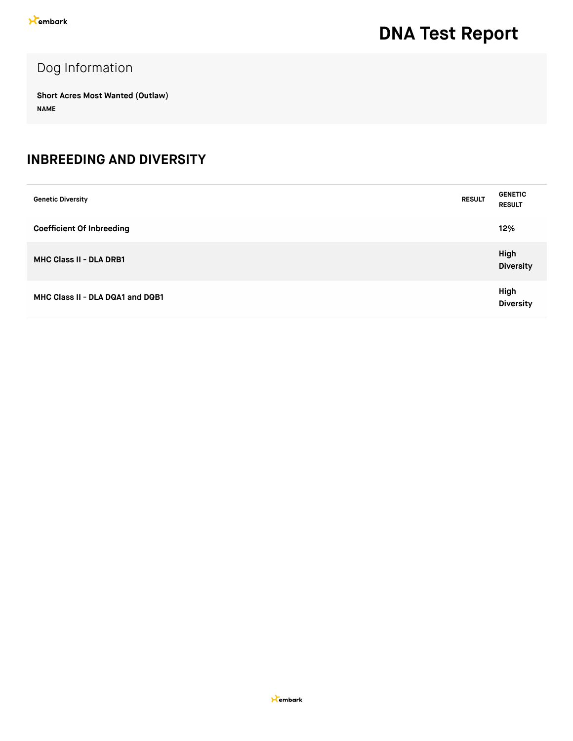#### Dog Information

**Short Acres Most Wanted (Outlaw) NAME**

#### **INBREEDING AND DIVERSITY**

| <b>Genetic Diversity</b>         | <b>RESULT</b> | <b>GENETIC</b><br><b>RESULT</b> |
|----------------------------------|---------------|---------------------------------|
| <b>Coefficient Of Inbreeding</b> |               | 12%                             |
| <b>MHC Class II - DLA DRB1</b>   |               | High<br><b>Diversity</b>        |
| MHC Class II - DLA DQA1 and DQB1 |               | High<br><b>Diversity</b>        |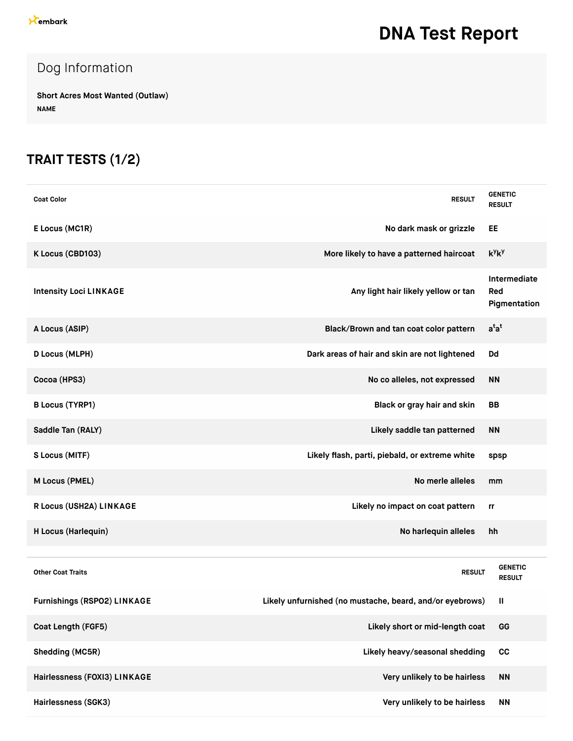### Dog Information

**Short Acres Most Wanted (Outlaw) NAME**

### **TRAIT TESTS (1/2)**

| <b>Coat Color</b>             | <b>RESULT</b>                                            | <b>GENETIC</b><br><b>RESULT</b>     |
|-------------------------------|----------------------------------------------------------|-------------------------------------|
| E Locus (MC1R)                | No dark mask or grizzle                                  | EE                                  |
| K Locus (CBD103)              | More likely to have a patterned haircoat                 | $k^y k^y$                           |
| <b>Intensity Loci LINKAGE</b> | Any light hair likely yellow or tan                      | Intermediate<br>Red<br>Pigmentation |
| A Locus (ASIP)                | Black/Brown and tan coat color pattern                   | $a^{t}a^{t}$                        |
| <b>D Locus (MLPH)</b>         | Dark areas of hair and skin are not lightened            | Dd                                  |
| Cocoa (HPS3)                  | No co alleles, not expressed                             | <b>NN</b>                           |
| <b>B Locus (TYRP1)</b>        | Black or gray hair and skin                              | <b>BB</b>                           |
| Saddle Tan (RALY)             | Likely saddle tan patterned                              | ΝN                                  |
| S Locus (MITF)                | Likely flash, parti, piebald, or extreme white           | spsp                                |
| M Locus (PMEL)                | No merle alleles                                         | mm                                  |
| R Locus (USH2A) LINKAGE       | Likely no impact on coat pattern                         | rr                                  |
| H Locus (Harlequin)           | No harlequin alleles                                     | hh                                  |
|                               |                                                          |                                     |
| <b>Other Coat Traits</b>      | <b>RESULT</b>                                            | <b>GENETIC</b><br><b>RESULT</b>     |
| Furnishings (RSPO2) LINKAGE   | Likely unfurnished (no mustache, beard, and/or eyebrows) | Ш                                   |
| Coat Length (FGF5)            | Likely short or mid-length coat                          | GG                                  |
| Shedding (MC5R)               | Likely heavy/seasonal shedding                           | cc                                  |
| Hairlessness (FOXI3) LINKAGE  | Very unlikely to be hairless                             | <b>NN</b>                           |
| Hairlessness (SGK3)           | Very unlikely to be hairless                             | <b>NN</b>                           |